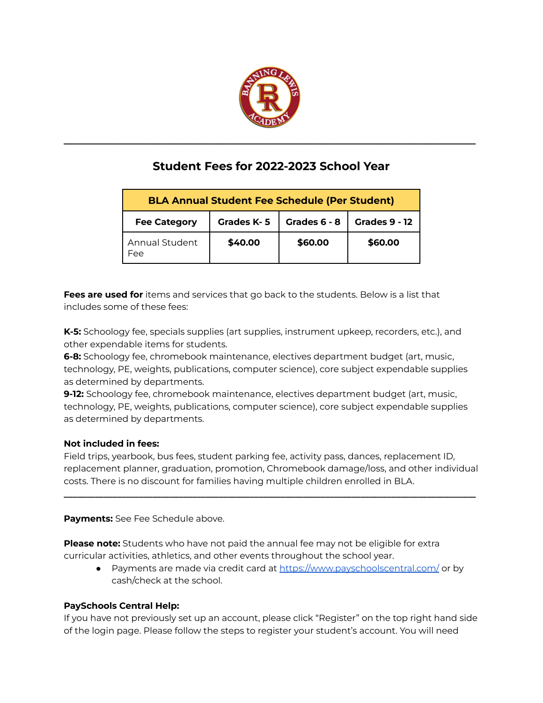

# **Student Fees for 2022-2023 School Year**

**\_\_\_\_\_\_\_\_\_\_\_\_\_\_\_\_\_\_\_\_\_\_\_\_\_\_\_\_\_\_\_\_\_\_\_\_\_\_\_\_\_\_\_\_\_\_\_\_\_\_\_\_\_\_\_\_\_\_\_\_\_\_\_\_\_\_\_\_\_\_\_\_\_\_\_\_**

| <b>BLA Annual Student Fee Schedule (Per Student)</b> |            |              |                      |
|------------------------------------------------------|------------|--------------|----------------------|
| <b>Fee Category</b>                                  | Grades K-5 | Grades 6 - 8 | <b>Grades 9 - 12</b> |
| <b>Annual Student</b><br>Fee                         | \$40.00    | \$60.00      | \$60.00              |

**Fees are used for** items and services that go back to the students. Below is a list that includes some of these fees:

**K-5:** Schoology fee, specials supplies (art supplies, instrument upkeep, recorders, etc.), and other expendable items for students.

**6-8:** Schoology fee, chromebook maintenance, electives department budget (art, music, technology, PE, weights, publications, computer science), core subject expendable supplies as determined by departments.

**9-12:** Schoology fee, chromebook maintenance, electives department budget (art, music, technology, PE, weights, publications, computer science), core subject expendable supplies as determined by departments.

## **Not included in fees:**

Field trips, yearbook, bus fees, student parking fee, activity pass, dances, replacement ID, replacement planner, graduation, promotion, Chromebook damage/loss, and other individual costs. There is no discount for families having multiple children enrolled in BLA.

**\_\_\_\_\_\_\_\_\_\_\_\_\_\_\_\_\_\_\_\_\_\_\_\_\_\_\_\_\_\_\_\_\_\_\_\_\_\_\_\_\_\_\_\_\_\_\_\_\_\_\_\_\_\_\_\_\_\_\_\_\_\_\_\_\_\_\_\_\_\_\_\_\_\_\_\_\_\_\_\_\_\_\_\_\_\_\_\_\_\_\_\_\_**

**Payments:** See Fee Schedule above.

**Please note:** Students who have not paid the annual fee may not be eligible for extra curricular activities, athletics, and other events throughout the school year.

● Payments are made via credit card at <https://www.payschoolscentral.com/> or by cash/check at the school.

## **PaySchools Central Help:**

If you have not previously set up an account, please click "Register" on the top right hand side of the login page. Please follow the steps to register your student's account. You will need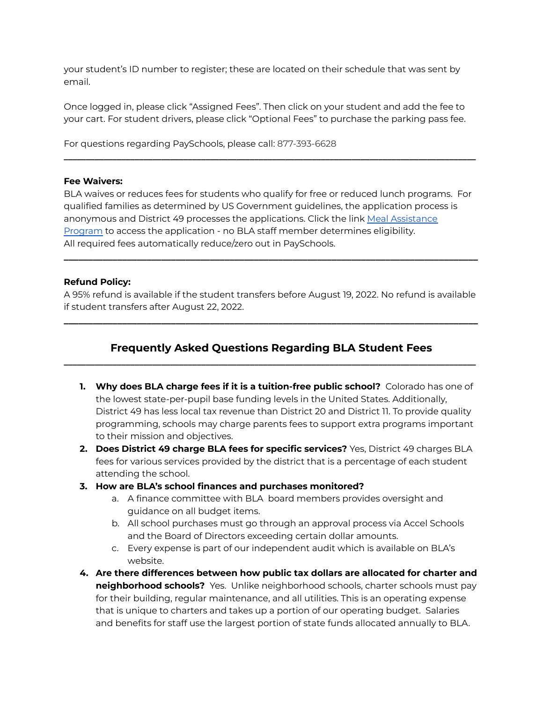your student's ID number to register; these are located on their schedule that was sent by email.

Once logged in, please click "Assigned Fees". Then click on your student and add the fee to your cart. For student drivers, please click "Optional Fees" to purchase the parking pass fee.

**\_\_\_\_\_\_\_\_\_\_\_\_\_\_\_\_\_\_\_\_\_\_\_\_\_\_\_\_\_\_\_\_\_\_\_\_\_\_\_\_\_\_\_\_\_\_\_\_\_\_\_\_\_\_\_\_\_\_\_\_\_\_\_\_\_\_\_\_\_\_\_\_\_\_\_\_\_\_\_\_\_\_\_\_\_\_\_\_\_\_\_\_\_**

For questions regarding PaySchools, please call: 877-393-6628

#### **Fee Waivers:**

BLA waives or reduces fees for students who qualify for free or reduced lunch programs. For qualified families as determined by US Government guidelines, the application process is anonymous and District 49 processes the applications. Click the link Meal [Assistance](https://www.payschoolscentral.com/) [Program](https://www.payschoolscentral.com/) to access the application - no BLA staff member determines eligibility. All required fees automatically reduce/zero out in PaySchools.

#### **Refund Policy:**

A 95% refund is available if the student transfers before August 19, 2022. No refund is available if student transfers after August 22, 2022.

**\_\_\_\_\_\_\_\_\_\_\_\_\_\_\_\_\_\_\_\_\_\_\_\_\_\_\_\_\_\_\_\_\_\_\_\_\_\_\_\_\_\_\_\_\_\_\_\_\_\_\_\_\_\_\_\_\_\_\_\_\_\_\_\_\_\_\_\_\_\_\_\_\_\_\_\_\_\_\_\_\_\_\_\_\_**

**\_\_\_\_\_\_\_\_\_\_\_\_\_\_\_\_\_\_\_\_\_\_\_\_\_\_\_\_\_\_\_\_\_\_\_\_\_\_\_\_\_\_\_\_\_\_\_\_\_\_\_\_\_\_\_\_\_\_\_\_\_\_\_\_\_\_\_\_\_\_\_\_\_\_\_\_\_\_\_\_\_\_\_\_\_**

# **Frequently Asked Questions Regarding BLA Student Fees \_\_\_\_\_\_\_\_\_\_\_\_\_\_\_\_\_\_\_\_\_\_\_\_\_\_\_\_\_\_\_\_\_\_\_\_\_\_\_\_\_\_\_\_\_\_\_\_\_\_\_\_\_\_\_\_\_\_\_\_\_\_\_\_\_\_\_\_\_\_\_\_\_\_\_\_\_\_\_\_\_\_\_\_\_\_\_\_\_\_\_\_\_**

- **1. Why does BLA charge fees if it is a tuition-free public school?** Colorado has one of the lowest state-per-pupil base funding levels in the United States. Additionally, District 49 has less local tax revenue than District 20 and District 11. To provide quality programming, schools may charge parents fees to support extra programs important to their mission and objectives.
- **2. Does District 49 charge BLA fees for specific services?** Yes, District 49 charges BLA fees for various services provided by the district that is a percentage of each student attending the school.
- **3. How are BLA's school finances and purchases monitored?**
	- a. A finance committee with BLA board members provides oversight and guidance on all budget items.
	- b. All school purchases must go through an approval process via Accel Schools and the Board of Directors exceeding certain dollar amounts.
	- c. Every expense is part of our independent audit which is available on BLA's website.
- **4. Are there differences between how public tax dollars are allocated for charter and neighborhood schools?** Yes. Unlike neighborhood schools, charter schools must pay for their building, regular maintenance, and all utilities. This is an operating expense that is unique to charters and takes up a portion of our operating budget. Salaries and benefits for staff use the largest portion of state funds allocated annually to BLA.